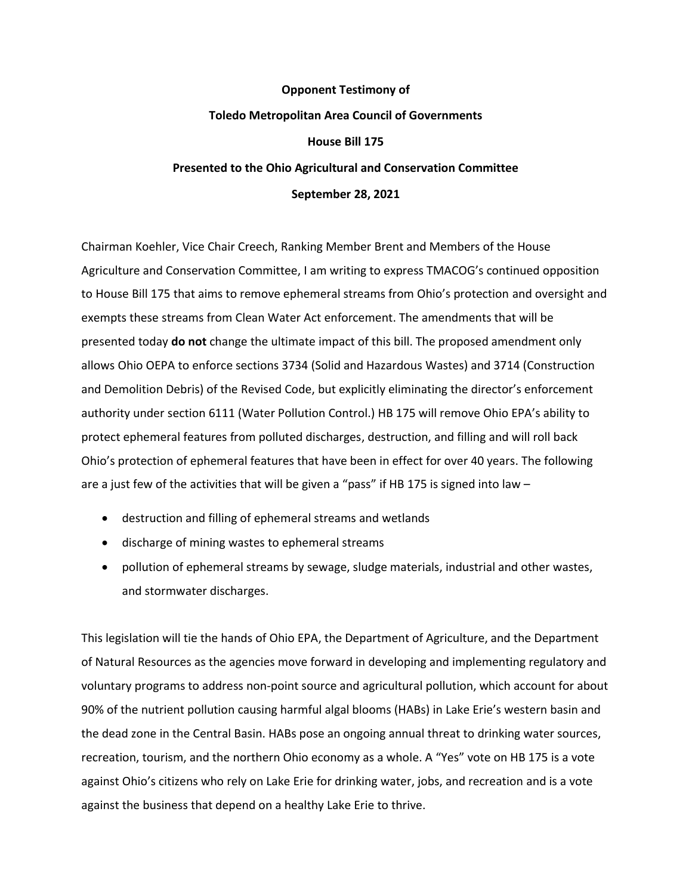## **Opponent Testimony of Toledo Metropolitan Area Council of Governments House Bill 175 Presented to the Ohio Agricultural and Conservation Committee September 28, 2021**

Chairman Koehler, Vice Chair Creech, Ranking Member Brent and Members of the House Agriculture and Conservation Committee, I am writing to express TMACOG's continued opposition to House Bill 175 that aims to remove ephemeral streams from Ohio's protection and oversight and exempts these streams from Clean Water Act enforcement. The amendments that will be presented today **do not** change the ultimate impact of this bill. The proposed amendment only allows Ohio OEPA to enforce sections 3734 (Solid and Hazardous Wastes) and 3714 (Construction and Demolition Debris) of the Revised Code, but explicitly eliminating the director's enforcement authority under section 6111 (Water Pollution Control.) HB 175 will remove Ohio EPA's ability to protect ephemeral features from polluted discharges, destruction, and filling and will roll back Ohio's protection of ephemeral features that have been in effect for over 40 years. The following are a just few of the activities that will be given a "pass" if HB 175 is signed into law -

- destruction and filling of ephemeral streams and wetlands
- discharge of mining wastes to ephemeral streams
- pollution of ephemeral streams by sewage, sludge materials, industrial and other wastes, and stormwater discharges.

This legislation will tie the hands of Ohio EPA, the Department of Agriculture, and the Department of Natural Resources as the agencies move forward in developing and implementing regulatory and voluntary programs to address non-point source and agricultural pollution, which account for about 90% of the nutrient pollution causing harmful algal blooms (HABs) in Lake Erie's western basin and the dead zone in the Central Basin. HABs pose an ongoing annual threat to drinking water sources, recreation, tourism, and the northern Ohio economy as a whole. A "Yes" vote on HB 175 is a vote against Ohio's citizens who rely on Lake Erie for drinking water, jobs, and recreation and is a vote against the business that depend on a healthy Lake Erie to thrive.